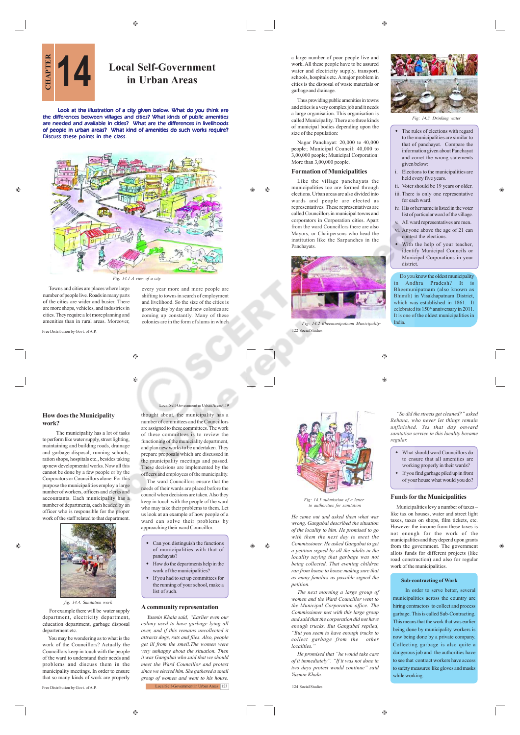

Look at the illustration of a city given below. What do you think are the differences between villages and cities? What kinds of public amenities are needed and available in cities? What are the differences in livelihoods of people in urban areas? What kind of amenities do such works require? Discuss these points in the class.



Towns and cities are places where large number of people live. Roads in many parts of the cities are wider and busier. There are more shops, vehicles, and industries in cities. They require a lot more planning and amenities than in rural areas. Moreover,

Free Distribution by Govt. of A.P.

æ

 $\oplus$ 

every year more and more people are shifting to towns in search of employment and livelihood. So the size of the cities is growing day by day and new colonies are coming up constantly. Many of these colonies are in the form of slums in which

 $\bigoplus$ 

# **How does the Municipality work?**

 The municipality has a lot of tasks to perform like water supply, street lighting, maintaining and building roads, drainage and garbage disposal, running schools, ration shops, hospitals etc., besides taking up new developmental works. Now all this cannot be done by a few people or by the Corporators or Councillors alone. For this purpose the municipalities employ a large number of workers, officers and clerks and accountants. Each municipality has a number of departments, each headed by an officer who is responsible for the proper work of the staff related to that department.



# *fig: 14.4. Sanitation work*

 For example there will be water supply department, electricity department, education department, garbage disposal departement etc.

You may be wondering as to what is the work of the Councillors? Actually the Councillors keep in touch with the people of the ward to understand their needs and problems and discuss them in the municipality meetings. In order to ensure that so many kinds of work are properly

Free Distribution by Govt. of A.P.

thought about, the municipality has a number of committees and the Councillors are assigned to these committees. The work of these committees is to review the functioning of the municiality department, and plan new works to be undertaken. They prepare proposals which are discussed in the municipality meetings and passed. These decisions are implemented by the officers and employees of the municipality.

 $as/119$ 

The ward Councillors ensure that the needs of their wards are placed before the council when decisions are taken. Also they keep in touch with the people of the ward who may take their problems to them. Let us look at an example of how people of a ward can solve their problems by approaching their ward Councillor.

- Can you distinguish the functions of municipalities with that of panchayats?
- How do the departments help in the work of the municipalities?
- If you had to set up committees for the running of your school, make a list of such.

# **A community representation**

*Yasmin Khala said, "Earlier even our colony used to have garbage lying all over, and if this remains uncollected it attracts dogs, rats and flies. Also, people get ill from the smell.The women were very unhappy about the situation. Then it was Gangabai who said that we should meet the Ward Councillor and protest since we elected him. She gathered a small group of women and went to his house.* Local Self-Government in Urban Areas 123 a large number of poor people live and work. All these people have to be assured water and electricity supply, transport, schools, hospitals etc. A major problem in cities is the disposal of waste materials or garbage and drainage.

Thus providing public amenities in towns and cities is a very complex job and it needs a large organisation. This organisation is called Municipality. There are three kinds of municipal bodies depending upon the size of the population:

Nagar Panchayat: 20,000 to 40,000 people; Municipal Council: 40,000 to 3,00,000 people; Municipal Corporation: More than 3,00,000 people.

# **Formation of Municipalities**

 $\triangle$ 

Like the village panchayats the municipalities too are formed through elections. Urban areas are also divided into wards and people are elected as representatives. These representatives are called Councillors in municipal towns and corporators in Corporation cities. Apart from the ward Councillors there are also Mayors, or Chairpersons who head the institution like the Sarpanches in the Panchayats.



122 Social Studies *Fig: 14.2 Bheemunipa* 

*Fig: 14.3. Drinking water* 

- The rules of elections with regard to the municipalities are similar to that of panchayat. Compare the information given about Panchayat and corret the wrong statements given below:
- i. Elections to the municipalities are held every five years.
- ii. Voter should be 19 years or older. iii. There is only one representative for each ward.
- iv. His or her name is listed in the voter list of particular ward of the village. All ward representatives are men.
- vi. Anyone above the age of 21 can contest the elections.
- With the help of your teacher, identify Municipal Councils or Municipal Corporations in your district.

Do you know the oldest municipality Andhra Pradesh? It is Bheemunipatnam (also known as Bhimili) in Visakhapatnam District,<br>which was established in 1861. It which was established in 1861. celebrated its 150<sup>th</sup> anniversary in 2011. It is one of the oldest municipalities in India.

*"So did the streets get cleaned?" asked*

 What should ward Councillors do to ensure that all amenities are working properly in their wards? If you find garbage piled up in front of your house what would you do?

**Funds for the Municipalities** Municipalities levy a number of taxes – like tax on houses, water and street light taxes, taxes on shops, film tickets, etc. However the income from these taxes is not enough for the work of the municipalities and they depend upon grants from the government. The government allots funds for different projects (like road construction) and also for regular work of the municipalities.

۸



*Fig: 14.5 submiss to authorities for sanitation*

*He came out and asked them what was wrong. Gangabai described the situation of the locality to him. He promised to go with them the next day to meet the Commissioner. He asked Gangabai to get a petition signed by all the adults in the locality saying that garbage was not being collected. That evening children ran from house to house making sure that as many families as possible signed the petition.*

*The next morning a large group of women and the Ward Councillor went to the Municipal Corporation office. The Commissioner met with this large group and said that the corporation did not have enough trucks. But Gangabai replied, "But you seem to have enough trucks to collect garbage from the other localities."*

*He promised that "he would take care of it immediately". "If it was not done in two days protest would continue" said Yasmin Khala.*

124 Social Studie

# **Sub-contracting of Work**

In order to serve better, several municipalities across the country are hiring contractors to collect and process garbage. This is called Sub-Contracting. This means that the work that was earlier being done by municipality workers is now being done by a private company. Collecting garbage is also quite a dangerous job and the authorities have to see that contract workers have access to safety measures like gloves and masks while working.





A